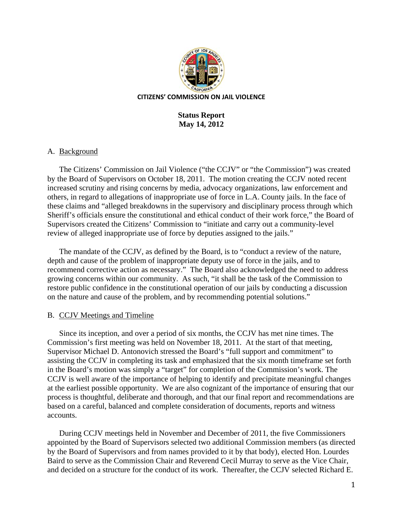

# **Status Report May 14, 2012**

### A. Background

The Citizens' Commission on Jail Violence ("the CCJV" or "the Commission") was created by the Board of Supervisors on October 18, 2011. The motion creating the CCJV noted recent increased scrutiny and rising concerns by media, advocacy organizations, law enforcement and others, in regard to allegations of inappropriate use of force in L.A. County jails. In the face of these claims and "alleged breakdowns in the supervisory and disciplinary process through which Sheriff's officials ensure the constitutional and ethical conduct of their work force," the Board of Supervisors created the Citizens' Commission to "initiate and carry out a community-level review of alleged inappropriate use of force by deputies assigned to the jails."

The mandate of the CCJV, as defined by the Board, is to "conduct a review of the nature, depth and cause of the problem of inappropriate deputy use of force in the jails, and to recommend corrective action as necessary." The Board also acknowledged the need to address growing concerns within our community. As such, "it shall be the task of the Commission to restore public confidence in the constitutional operation of our jails by conducting a discussion on the nature and cause of the problem, and by recommending potential solutions."

## B. CCJV Meetings and Timeline

Since its inception, and over a period of six months, the CCJV has met nine times. The Commission's first meeting was held on November 18, 2011. At the start of that meeting, Supervisor Michael D. Antonovich stressed the Board's "full support and commitment" to assisting the CCJV in completing its task and emphasized that the six month timeframe set forth in the Board's motion was simply a "target" for completion of the Commission's work. The CCJV is well aware of the importance of helping to identify and precipitate meaningful changes at the earliest possible opportunity. We are also cognizant of the importance of ensuring that our process is thoughtful, deliberate and thorough, and that our final report and recommendations are based on a careful, balanced and complete consideration of documents, reports and witness accounts.

During CCJV meetings held in November and December of 2011, the five Commissioners appointed by the Board of Supervisors selected two additional Commission members (as directed by the Board of Supervisors and from names provided to it by that body), elected Hon. Lourdes Baird to serve as the Commission Chair and Reverend Cecil Murray to serve as the Vice Chair, and decided on a structure for the conduct of its work. Thereafter, the CCJV selected Richard E.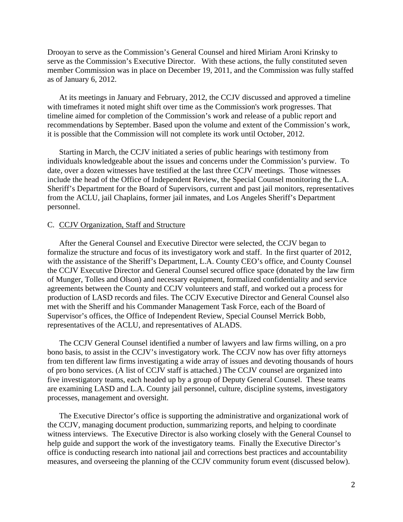Drooyan to serve as the Commission's General Counsel and hired Miriam Aroni Krinsky to serve as the Commission's Executive Director. With these actions, the fully constituted seven member Commission was in place on December 19, 2011, and the Commission was fully staffed as of January 6, 2012.

At its meetings in January and February, 2012, the CCJV discussed and approved a timeline with timeframes it noted might shift over time as the Commission's work progresses. That timeline aimed for completion of the Commission's work and release of a public report and recommendations by September. Based upon the volume and extent of the Commission's work, it is possible that the Commission will not complete its work until October, 2012.

Starting in March, the CCJV initiated a series of public hearings with testimony from individuals knowledgeable about the issues and concerns under the Commission's purview. To date, over a dozen witnesses have testified at the last three CCJV meetings. Those witnesses include the head of the Office of Independent Review, the Special Counsel monitoring the L.A. Sheriff's Department for the Board of Supervisors, current and past jail monitors, representatives from the ACLU, jail Chaplains, former jail inmates, and Los Angeles Sheriff's Department personnel.

#### C. CCJV Organization, Staff and Structure

After the General Counsel and Executive Director were selected, the CCJV began to formalize the structure and focus of its investigatory work and staff. In the first quarter of 2012, with the assistance of the Sheriff's Department, L.A. County CEO's office, and County Counsel the CCJV Executive Director and General Counsel secured office space (donated by the law firm of Munger, Tolles and Olson) and necessary equipment, formalized confidentiality and service agreements between the County and CCJV volunteers and staff, and worked out a process for production of LASD records and files. The CCJV Executive Director and General Counsel also met with the Sheriff and his Commander Management Task Force, each of the Board of Supervisor's offices, the Office of Independent Review, Special Counsel Merrick Bobb, representatives of the ACLU, and representatives of ALADS.

The CCJV General Counsel identified a number of lawyers and law firms willing, on a pro bono basis, to assist in the CCJV's investigatory work. The CCJV now has over fifty attorneys from ten different law firms investigating a wide array of issues and devoting thousands of hours of pro bono services. (A list of CCJV staff is attached.) The CCJV counsel are organized into five investigatory teams, each headed up by a group of Deputy General Counsel. These teams are examining LASD and L.A. County jail personnel, culture, discipline systems, investigatory processes, management and oversight.

The Executive Director's office is supporting the administrative and organizational work of the CCJV, managing document production, summarizing reports, and helping to coordinate witness interviews. The Executive Director is also working closely with the General Counsel to help guide and support the work of the investigatory teams. Finally the Executive Director's office is conducting research into national jail and corrections best practices and accountability measures, and overseeing the planning of the CCJV community forum event (discussed below).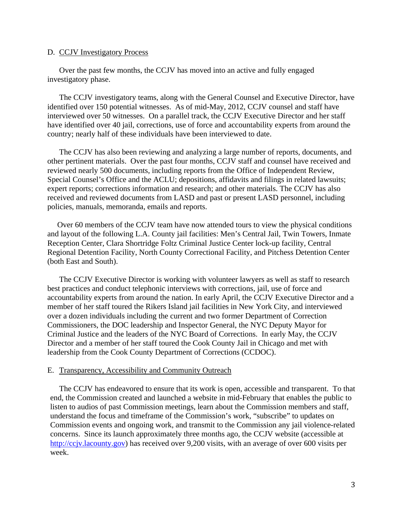### D. CCJV Investigatory Process

Over the past few months, the CCJV has moved into an active and fully engaged investigatory phase.

The CCJV investigatory teams, along with the General Counsel and Executive Director, have identified over 150 potential witnesses. As of mid-May, 2012, CCJV counsel and staff have interviewed over 50 witnesses. On a parallel track, the CCJV Executive Director and her staff have identified over 40 jail, corrections, use of force and accountability experts from around the country; nearly half of these individuals have been interviewed to date.

The CCJV has also been reviewing and analyzing a large number of reports, documents, and other pertinent materials. Over the past four months, CCJV staff and counsel have received and reviewed nearly 500 documents, including reports from the Office of Independent Review, Special Counsel's Office and the ACLU; depositions, affidavits and filings in related lawsuits; expert reports; corrections information and research; and other materials. The CCJV has also received and reviewed documents from LASD and past or present LASD personnel, including policies, manuals, memoranda, emails and reports.

 Over 60 members of the CCJV team have now attended tours to view the physical conditions and layout of the following L.A. County jail facilities: Men's Central Jail, Twin Towers, Inmate Reception Center, Clara Shortridge Foltz Criminal Justice Center lock-up facility, Central Regional Detention Facility, North County Correctional Facility, and Pitchess Detention Center (both East and South).

The CCJV Executive Director is working with volunteer lawyers as well as staff to research best practices and conduct telephonic interviews with corrections, jail, use of force and accountability experts from around the nation. In early April, the CCJV Executive Director and a member of her staff toured the Rikers Island jail facilities in New York City, and interviewed over a dozen individuals including the current and two former Department of Correction Commissioners, the DOC leadership and Inspector General, the NYC Deputy Mayor for Criminal Justice and the leaders of the NYC Board of Corrections. In early May, the CCJV Director and a member of her staff toured the Cook County Jail in Chicago and met with leadership from the Cook County Department of Corrections (CCDOC).

#### E. Transparency, Accessibility and Community Outreach

The CCJV has endeavored to ensure that its work is open, accessible and transparent. To that end, the Commission created and launched a website in mid-February that enables the public to listen to audios of past Commission meetings, learn about the Commission members and staff, understand the focus and timeframe of the Commission's work, "subscribe" to updates on Commission events and ongoing work, and transmit to the Commission any jail violence-related concerns. Since its launch approximately three months ago, the CCJV website (accessible at http://ccjv.lacounty.gov) has received over 9,200 visits, with an average of over 600 visits per week.